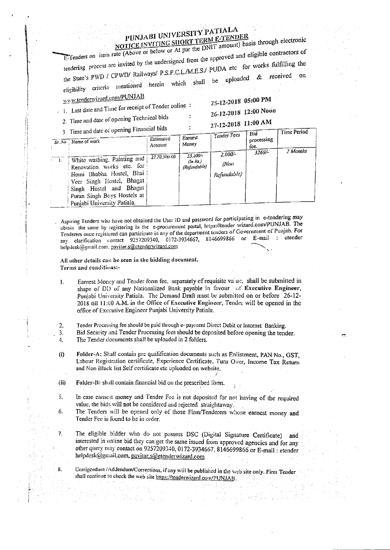## PUNJABI UNIVERSITY PATIALA NOTICE INVITING SHORT TERM E-TENDER

E-Tenders on item rate (Above or below or At par the DNIT amount) basis through electronic tendering process are invited by the undersigned from the approved and eligible contractors of the State's PWD / CPWD/ Railways/ P.S.P.C.L./M.E.S./ PUDA etc for works fulfilling the eligibility criteria mentioned herein which shall be uploaded & received www.tenderwizard.com/PUNJAB

1. Last date and Time for receipt of Tender online:

25-12-2018 05:00 PM

26-12-2018 12:00 Noon

2. Time and date of opening Technical bids

nd data of opening Financial bids

27-12-2018 11:00 AM

| I me and date of opening $\sim$                                                                                                                                                                              |                     |                                         |                                  | Bid                | Time Period |  |
|--------------------------------------------------------------------------------------------------------------------------------------------------------------------------------------------------------------|---------------------|-----------------------------------------|----------------------------------|--------------------|-------------|--|
| $S_f$ . No $\overline{S}$ Name of work                                                                                                                                                                       | Estimated<br>Amount | Earnest<br>Money                        | Tender Fees                      | processing<br>fee. |             |  |
| White washing, Painting and<br>Renovation works etc. for<br>: Homi Bhabha Hostel, Bhai<br>Veer Singh Hostel, Bhagat<br>Singh Hostel and Bhagat<br>Puran Singh Boys Hostels at<br>Punjabi University Patiala. | 27,70,500-00        | $55,400 -$<br>$(n$ Rs.)<br>(Refundable) | $2.000 -$<br>/Non<br>Refundable) | $3269/-$           | 2 Months    |  |

Aspiring Tenders who have not obtained the User ID and password for participating in e-tendering may obtain the same by registering in the e-procurement portal, https://tender wizard.com/PUNJAB. The Tenderers once registered can participate in any of the department tenders of Government of Punjab. For any clarification contact 9257209340, 0172-3934667, 8146699866 or E-mail : etender helpdesk@gmail.com.pavitar.s@etenderwizard.com

All other details can be seen in the bidding document. Terms and conditions:-

- Earnest Money and Tender form fee, separately of requisite value, shall be submitted in  $\mathbf{1}$ . shape of DD of any Nationalized Bank payable in favour of Executive Engineer, Punjabi University Patiala. The Demand Draft must be submitted on or before 26-12-2018 till 11:00 A.M. in the Office of Executive Engineer, Tender will be opened in the office of Executive Engineer Punjabi University Patiala.
- Tender Processing fee should be paid through e- payment Direct Debit or Internet Banking.  $\overline{2}$ . Bid Security and Tender Processing fees should be deposited before opening the tender. 3. The Tender documents shall be uploaded in 2 folders.  $\overline{4}$ .
- Folder-A: Shall contain pre qualification documents such as Enlistment, PAN No., GST,  $(i)$ Labour Registration certificate, Experience Certificate, Turn Over, Income Tax Return and Non Black list Self certificate etc uploaded on website.
- $(ii)$ Folder-B: shall contain financial bid on the prescribed form.

 $\overline{L}$ 

 $8.$ 

- 5. In case carnest money and Tender Fee is not deposited for not having of the required value, the bids will not be considered and rejected straightaway.
- The Tenders will be opened only of those Firm/Tenderers whose earnest money and 6. Tender Fee is found to be in order.
	- The eligible bidder who do not possess DSC (Digital Signature Certificate) and interested in online bid they can get the same issued from approved agencies and for any other query may contact on 9257209340, 0172-3934667, 8146699866 or E-mail: etender helpdesk@gmail.com, pavitar.s@etenderwizard.com

Corrigendum /Addendum/Corrections, if any will be published in the web site only. Firm Tender shall continue to check the web site https://tenderwizard.com/PUNJAB.